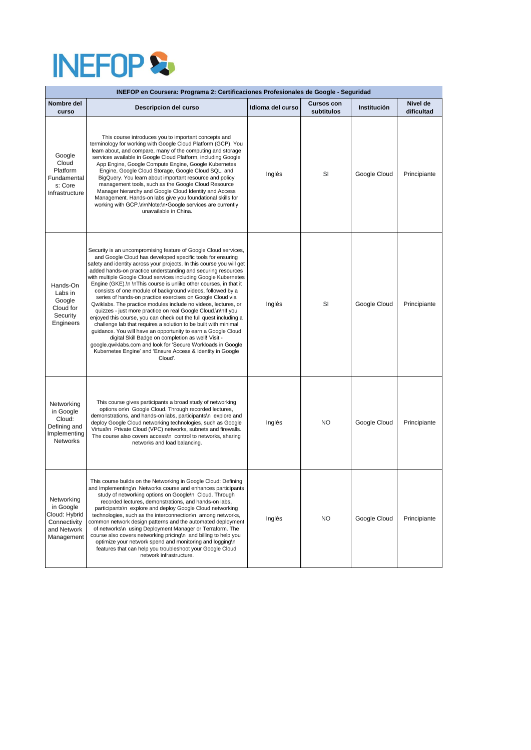

| INEFOP en Coursera: Programa 2: Certificaciones Profesionales de Google - Seguridad   |                                                                                                                                                                                                                                                                                                                                                                                                                                                                                                                                                                                                                                                                                                                                                                                                                                                                                                                                                                                                                                                                                       |                  |                                 |              |                        |  |  |  |  |
|---------------------------------------------------------------------------------------|---------------------------------------------------------------------------------------------------------------------------------------------------------------------------------------------------------------------------------------------------------------------------------------------------------------------------------------------------------------------------------------------------------------------------------------------------------------------------------------------------------------------------------------------------------------------------------------------------------------------------------------------------------------------------------------------------------------------------------------------------------------------------------------------------------------------------------------------------------------------------------------------------------------------------------------------------------------------------------------------------------------------------------------------------------------------------------------|------------------|---------------------------------|--------------|------------------------|--|--|--|--|
| Nombre del<br>curso                                                                   | Descripcion del curso                                                                                                                                                                                                                                                                                                                                                                                                                                                                                                                                                                                                                                                                                                                                                                                                                                                                                                                                                                                                                                                                 | Idioma del curso | <b>Cursos con</b><br>subtitulos | Institución  | Nivel de<br>dificultad |  |  |  |  |
| Google<br>Cloud<br>Platform<br>Fundamental<br>s: Core<br>Infrastructure               | This course introduces you to important concepts and<br>terminology for working with Google Cloud Platform (GCP). You<br>learn about, and compare, many of the computing and storage<br>services available in Google Cloud Platform, including Google<br>App Engine, Google Compute Engine, Google Kubernetes<br>Engine, Google Cloud Storage, Google Cloud SQL, and<br>BigQuery. You learn about important resource and policy<br>management tools, such as the Google Cloud Resource<br>Manager hierarchy and Google Cloud Identity and Access<br>Management. Hands-on labs give you foundational skills for<br>working with GCP.\n\nNote:\n•Google services are currently<br>unavailable in China.                                                                                                                                                                                                                                                                                                                                                                                 | Inglés           | SI                              | Google Cloud | Principiante           |  |  |  |  |
| Hands-On<br>Labs in<br>Google<br>Cloud for<br>Security<br>Engineers                   | Security is an uncompromising feature of Google Cloud services,<br>and Google Cloud has developed specific tools for ensuring<br>safety and identity across your projects. In this course you will get<br>added hands-on practice understanding and securing resources<br>with multiple Google Cloud services including Google Kubernetes<br>Engine (GKE). In In This course is unlike other courses, in that it<br>consists of one module of background videos, followed by a<br>series of hands-on practice exercises on Google Cloud via<br>Qwiklabs. The practice modules include no videos, lectures, or<br>quizzes - just more practice on real Google Cloud.\n\nlf you<br>enjoyed this course, you can check out the full quest including a<br>challenge lab that requires a solution to be built with minimal<br>guidance. You will have an opportunity to earn a Google Cloud<br>digital Skill Badge on completion as well! Visit -<br>google.qwiklabs.com and look for 'Secure Workloads in Google<br>Kubernetes Engine' and 'Ensure Access & Identity in Google<br>Cloud'. | Inglés           | SI                              | Google Cloud | Principiante           |  |  |  |  |
| Networking<br>in Google<br>Cloud:<br>Defining and<br>Implementing<br><b>Networks</b>  | This course gives participants a broad study of networking<br>options on\n Google Cloud. Through recorded lectures,<br>demonstrations, and hands-on labs, participants\n explore and<br>deploy Google Cloud networking technologies, such as Google<br>Virtual\n Private Cloud (VPC) networks, subnets and firewalls.<br>The course also covers access\n control to networks, sharing<br>networks and load balancing.                                                                                                                                                                                                                                                                                                                                                                                                                                                                                                                                                                                                                                                                 | Inglés           | <b>NO</b>                       | Google Cloud | Principiante           |  |  |  |  |
| Networking<br>in Google<br>Cloud: Hybrid<br>Connectivity<br>and Network<br>Management | This course builds on the Networking in Google Cloud: Defining<br>and Implementing\n Networks course and enhances participants<br>study of networking options on Google\n Cloud. Through<br>recorded lectures, demonstrations, and hands-on labs,<br>participants\n explore and deploy Google Cloud networking<br>technologies, such as the interconnection\n among networks,<br>common network design patterns and the automated deployment<br>of networks\n using Deployment Manager or Terraform. The<br>course also covers networking pricing\n and billing to help you<br>optimize your network spend and monitoring and logging\n<br>features that can help you troubleshoot your Google Cloud<br>network infrastructure.                                                                                                                                                                                                                                                                                                                                                       | Inglés           | <b>NO</b>                       | Google Cloud | Principiante           |  |  |  |  |